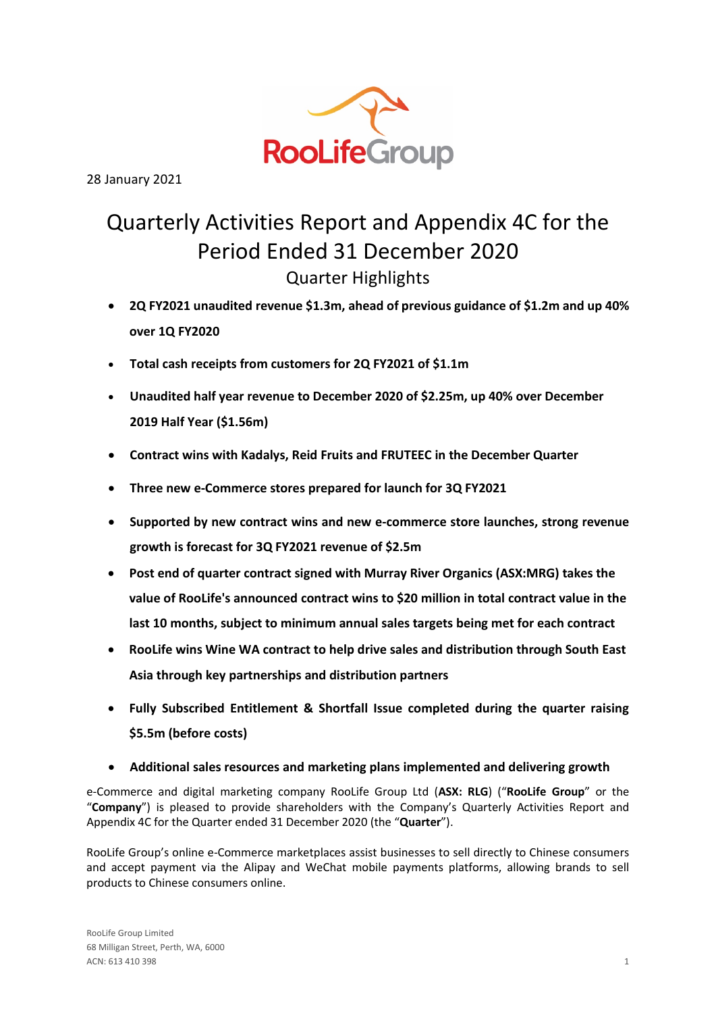

28 January 2021

# Quarterly Activities Report and Appendix 4C for the Period Ended 31 December 2020 Quarter Highlights

- **2Q FY2021 unaudited revenue \$1.3m, ahead of previous guidance of \$1.2m and up 40% over 1Q FY2020**
- **Total cash receipts from customers for 2Q FY2021 of \$1.1m**
- **Unaudited half year revenue to December 2020 of \$2.25m, up 40% over December 2019 Half Year (\$1.56m)**
- **Contract wins with Kadalys, Reid Fruits and FRUTEEC in the December Quarter**
- **Three new e-Commerce stores prepared for launch for 3Q FY2021**
- **Supported by new contract wins and new e-commerce store launches, strong revenue growth is forecast for 3Q FY2021 revenue of \$2.5m**
- **Post end of quarter contract signed with Murray River Organics (ASX:MRG) takes the value of RooLife's announced contract wins to \$20 million in total contract value in the last 10 months, subject to minimum annual sales targets being met for each contract**
- **RooLife wins Wine WA contract to help drive sales and distribution through South East Asia through key partnerships and distribution partners**
- **Fully Subscribed Entitlement & Shortfall Issue completed during the quarter raising \$5.5m (before costs)**
- **Additional sales resources and marketing plans implemented and delivering growth**

e-Commerce and digital marketing company RooLife Group Ltd (**ASX: RLG**) ("**RooLife Group**" or the "**Company**") is pleased to provide shareholders with the Company's Quarterly Activities Report and Appendix 4C for the Quarter ended 31 December 2020 (the "**Quarter**").

RooLife Group's online e-Commerce marketplaces assist businesses to sell directly to Chinese consumers and accept payment via the Alipay and WeChat mobile payments platforms, allowing brands to sell products to Chinese consumers online.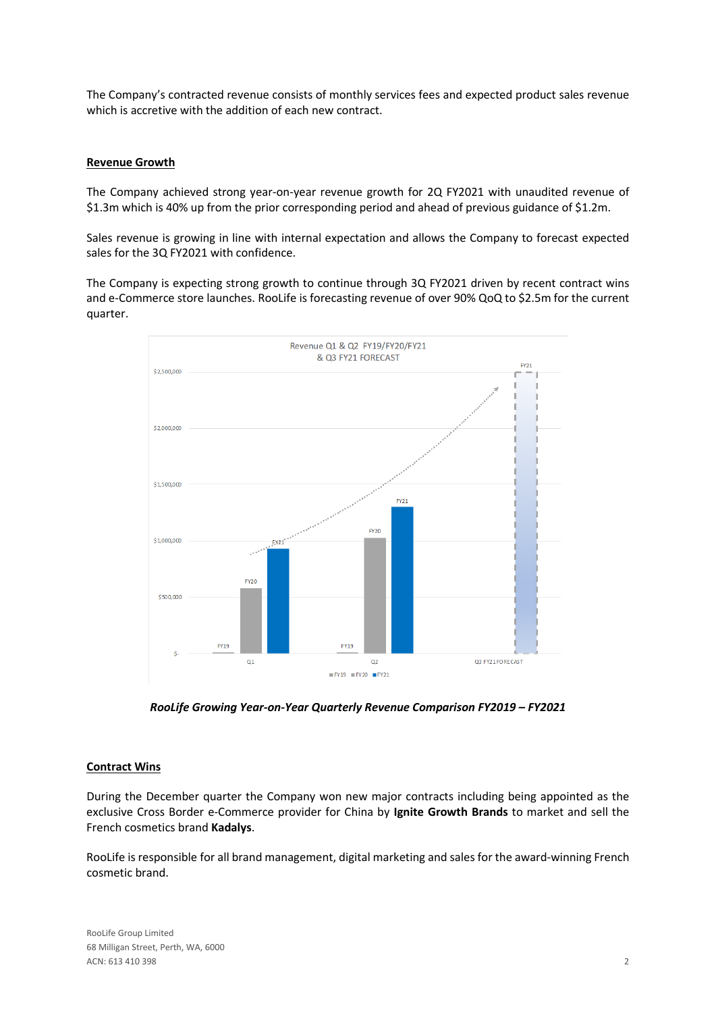The Company's contracted revenue consists of monthly services fees and expected product sales revenue which is accretive with the addition of each new contract.

## **Revenue Growth**

The Company achieved strong year-on-year revenue growth for 2Q FY2021 with unaudited revenue of \$1.3m which is 40% up from the prior corresponding period and ahead of previous guidance of \$1.2m.

Sales revenue is growing in line with internal expectation and allows the Company to forecast expected sales for the 3Q FY2021 with confidence.

The Company is expecting strong growth to continue through 3Q FY2021 driven by recent contract wins and e-Commerce store launches. RooLife is forecasting revenue of over 90% QoQ to \$2.5m for the current quarter.



*RooLife Growing Year-on-Year Quarterly Revenue Comparison FY2019 – FY2021*

## **Contract Wins**

During the December quarter the Company won new major contracts including being appointed as the exclusive Cross Border e-Commerce provider for China by **Ignite Growth Brands** to market and sell the French cosmetics brand **Kadalys**.

RooLife is responsible for all brand management, digital marketing and sales for the award-winning French cosmetic brand.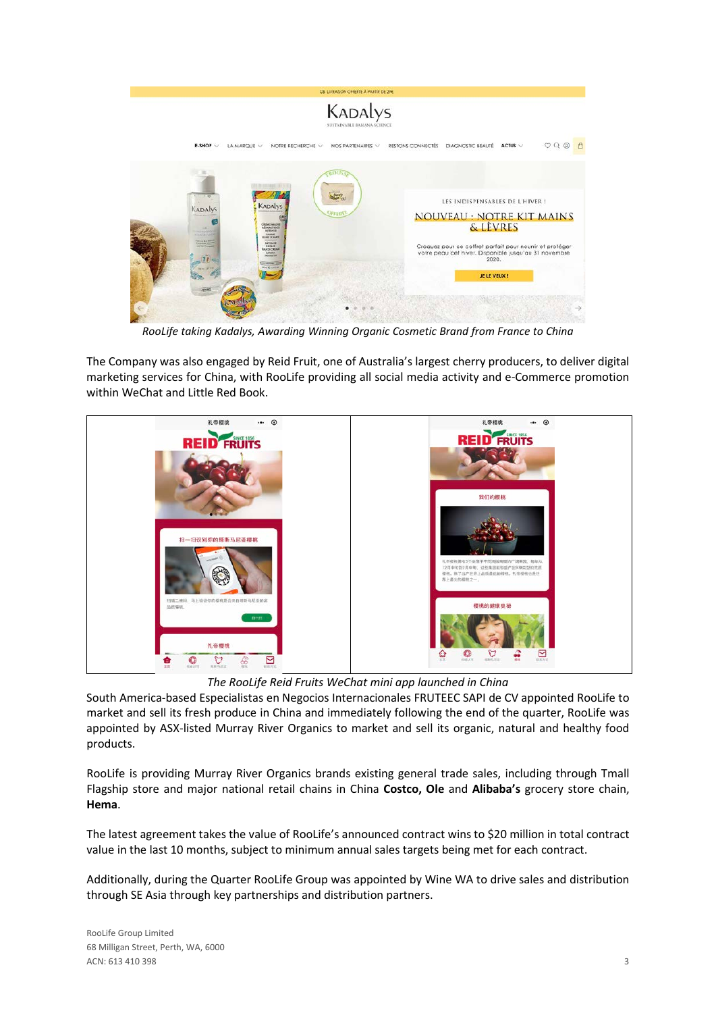

*RooLife taking Kadalys, Awarding Winning Organic Cosmetic Brand from France to China*

The Company was also engaged by Reid Fruit, one of Australia's largest cherry producers, to deliver digital marketing services for China, with RooLife providing all social media activity and e-Commerce promotion within WeChat and Little Red Book.



*The RooLife Reid Fruits WeChat mini app launched in China*

South America-based Especialistas en Negocios Internacionales FRUTEEC SAPI de CV appointed RooLife to market and sell its fresh produce in China and immediately following the end of the quarter, RooLife was appointed by ASX-listed Murray River Organics to market and sell its organic, natural and healthy food products.

RooLife is providing Murray River Organics brands existing general trade sales, including through Tmall Flagship store and major national retail chains in China **Costco, Ole** and **Alibaba's** grocery store chain, **Hema**.

The latest agreement takes the value of RooLife's announced contract wins to \$20 million in total contract value in the last 10 months, subject to minimum annual sales targets being met for each contract.

Additionally, during the Quarter RooLife Group was appointed by Wine WA to drive sales and distribution through SE Asia through key partnerships and distribution partners.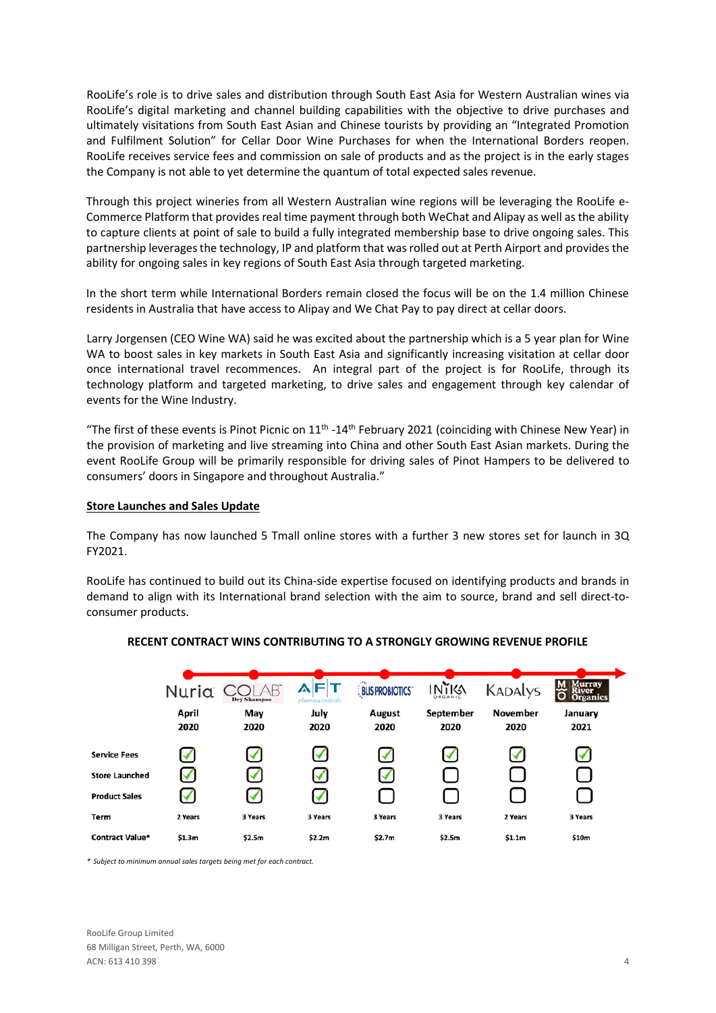RooLife's role is to drive sales and distribution through South East Asia for Western Australian wines via RooLife's digital marketing and channel building capabilities with the objective to drive purchases and ultimately visitations from South East Asian and Chinese tourists by providing an "Integrated Promotion and Fulfilment Solution" for Cellar Door Wine Purchases for when the International Borders reopen. RooLife receives service fees and commission on sale of products and as the project is in the early stages the Company is not able to yet determine the quantum of total expected sales revenue.

Through this project wineries from all Western Australian wine regions will be leveraging the RooLife e-Commerce Platform that provides real time payment through both WeChat and Alipay as well as the ability to capture clients at point of sale to build a fully integrated membership base to drive ongoing sales. This partnership leverages the technology, IP and platform that was rolled out at Perth Airport and provides the ability for ongoing sales in key regions of South East Asia through targeted marketing.

In the short term while International Borders remain closed the focus will be on the 1.4 million Chinese residents in Australia that have access to Alipay and We Chat Pay to pay direct at cellar doors.

Larry Jorgensen (CEO Wine WA) said he was excited about the partnership which is a 5 year plan for Wine WA to boost sales in key markets in South East Asia and significantly increasing visitation at cellar door once international travel recommences. An integral part of the project is for RooLife, through its technology platform and targeted marketing, to drive sales and engagement through key calendar of events for the Wine Industry.

"The first of these events is Pinot Picnic on 11<sup>th</sup> -14<sup>th</sup> February 2021 (coinciding with Chinese New Year) in the provision of marketing and live streaming into China and other South East Asian markets. During the event RooLife Group will be primarily responsible for driving sales of Pinot Hampers to be delivered to consumers' doors in Singapore and throughout Australia."

## **Store Launches and Sales Update**

The Company has now launched 5 Tmall online stores with a further 3 new stores set for launch in 3Q FY2021.

RooLife has continued to build out its China-side expertise focused on identifying products and brands in demand to align with its International brand selection with the aim to source, brand and sell direct-toconsumer products.



## **RECENT CONTRACT WINS CONTRIBUTING TO A STRONGLY GROWING REVENUE PROFILE**

*\* Subject to minimum annual sales targets being met for each contract.*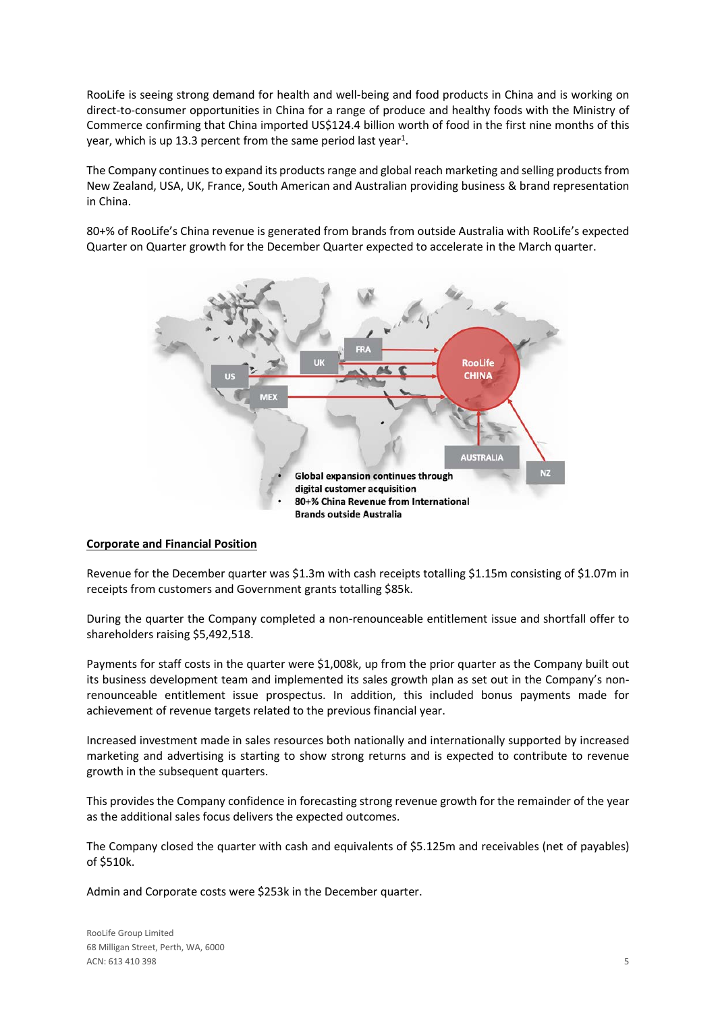RooLife is seeing strong demand for health and well-being and food products in China and is working on direct-to-consumer opportunities in China for a range of produce and healthy foods with the Ministry of Commerce confirming that China imported US\$124.4 billion worth of food in the first nine months of this year, which is up 13.3 percent from the same period last year<sup>1</sup>.

The Company continues to expand its products range and global reach marketing and selling products from New Zealand, USA, UK, France, South American and Australian providing business & brand representation in China.

80+% of RooLife's China revenue is generated from brands from outside Australia with RooLife's expected Quarter on Quarter growth for the December Quarter expected to accelerate in the March quarter.



## **Corporate and Financial Position**

Revenue for the December quarter was \$1.3m with cash receipts totalling \$1.15m consisting of \$1.07m in receipts from customers and Government grants totalling \$85k.

During the quarter the Company completed a non-renounceable entitlement issue and shortfall offer to shareholders raising \$5,492,518.

Payments for staff costs in the quarter were \$1,008k, up from the prior quarter as the Company built out its business development team and implemented its sales growth plan as set out in the Company's nonrenounceable entitlement issue prospectus. In addition, this included bonus payments made for achievement of revenue targets related to the previous financial year.

Increased investment made in sales resources both nationally and internationally supported by increased marketing and advertising is starting to show strong returns and is expected to contribute to revenue growth in the subsequent quarters.

This provides the Company confidence in forecasting strong revenue growth for the remainder of the year as the additional sales focus delivers the expected outcomes.

The Company closed the quarter with cash and equivalents of \$5.125m and receivables (net of payables) of \$510k.

Admin and Corporate costs were \$253k in the December quarter.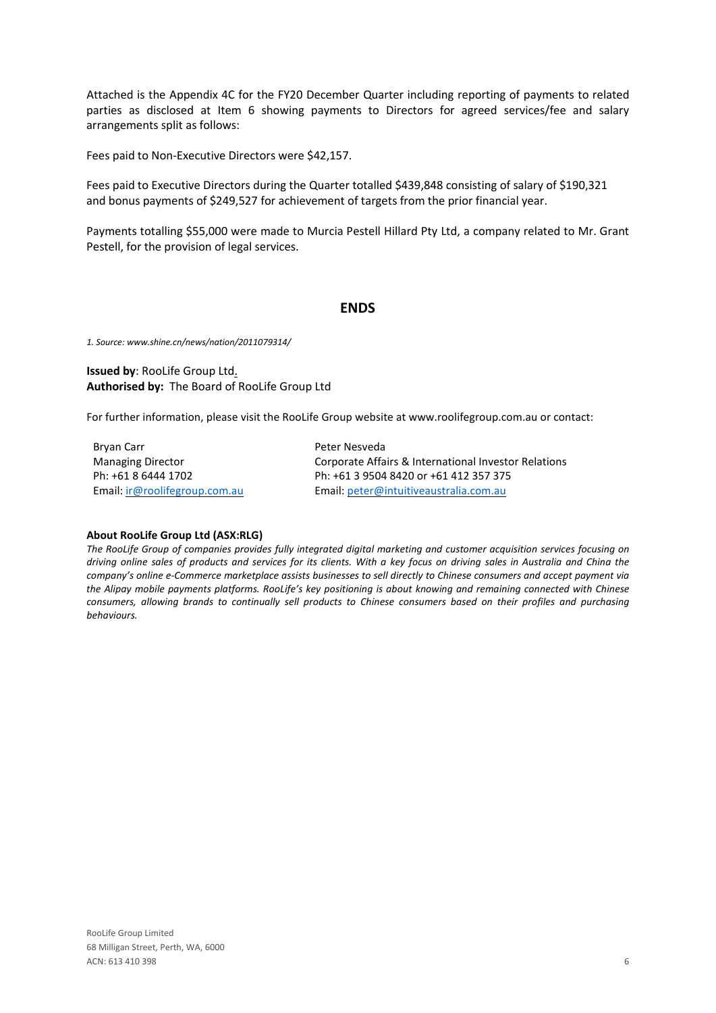Attached is the Appendix 4C for the FY20 December Quarter including reporting of payments to related parties as disclosed at Item 6 showing payments to Directors for agreed services/fee and salary arrangements split as follows:

Fees paid to Non-Executive Directors were \$42,157.

Fees paid to Executive Directors during the Quarter totalled \$439,848 consisting of salary of \$190,321 and bonus payments of \$249,527 for achievement of targets from the prior financial year.

Payments totalling \$55,000 were made to Murcia Pestell Hillard Pty Ltd, a company related to Mr. Grant Pestell, for the provision of legal services.

## **ENDS**

*1. Source: www.shine.cn/news/nation/2011079314/*

## **Issued by**: RooLife Group Ltd. **Authorised by:** The Board of RooLife Group Ltd

For further information, please visit the RooLife Group website at www.roolifegroup.com.au or contact:

Bryan Carr Managing Director Ph: +61 8 6444 1702 Email: [ir@roolifegroup.com.au](mailto:ir@roolifegroup.com.au) Peter Nesveda Corporate Affairs & International Investor Relations Ph: +61 3 9504 8420 or +61 412 357 375 Email: [peter@intuitiveaustralia.com.au](mailto:peter@intuitiveaustralia.com.au)

### **About RooLife Group Ltd (ASX:RLG)**

The RooLife Group of companies provides fully integrated digital marketing and customer acquisition services focusing on driving online sales of products and services for its clients. With a key focus on driving sales in Australia and China the company's online e-Commerce marketplace assists businesses to sell directly to Chinese consumers and accept payment via the Alipay mobile payments platforms. RooLife's key positioning is about knowing and remaining connected with Chinese consumers, allowing brands to continually sell products to Chinese consumers based on their profiles and purchasing *behaviours.*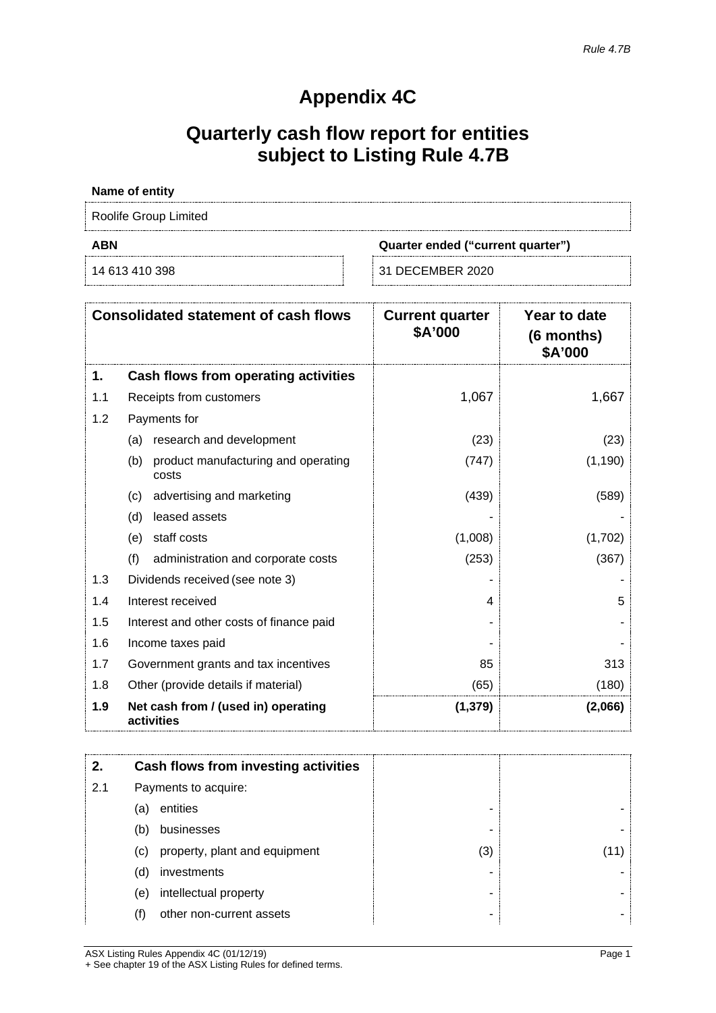# **Appendix 4C**

# **Quarterly cash flow report for entities subject to Listing Rule 4.7B**

## **Name of entity**

Roolife Group Limited

**ABN Quarter ended ("current quarter")**

14 613 410 398 31 DECEMBER 2020

|     | <b>Consolidated statement of cash flows</b>         | <b>Current quarter</b><br>\$A'000 | Year to date<br>(6 months)<br>\$A'000 |
|-----|-----------------------------------------------------|-----------------------------------|---------------------------------------|
| 1.  | Cash flows from operating activities                |                                   |                                       |
| 1.1 | Receipts from customers                             | 1,067                             | 1,667                                 |
| 1.2 | Payments for                                        |                                   |                                       |
|     | research and development<br>(a)                     | (23)                              | (23)                                  |
|     | (b)<br>product manufacturing and operating<br>costs | (747)                             | (1, 190)                              |
|     | advertising and marketing<br>(c)                    | (439)                             | (589)                                 |
|     | leased assets<br>(d)                                |                                   |                                       |
|     | staff costs<br>(e)                                  | (1,008)                           | (1,702)                               |
|     | (f)<br>administration and corporate costs           | (253)                             | (367)                                 |
| 1.3 | Dividends received (see note 3)                     |                                   |                                       |
| 1.4 | Interest received                                   | 4                                 | 5                                     |
| 1.5 | Interest and other costs of finance paid            |                                   |                                       |
| 1.6 | Income taxes paid                                   |                                   |                                       |
| 1.7 | Government grants and tax incentives                | 85                                | 313                                   |
| 1.8 | Other (provide details if material)                 | (65)                              | (180)                                 |
| 1.9 | Net cash from / (used in) operating<br>activities   | (1, 379)                          | (2,066)                               |

|     |     | Cash flows from investing activities |     |  |
|-----|-----|--------------------------------------|-----|--|
| 2.1 |     | Payments to acquire:                 |     |  |
|     | (a) | entities                             |     |  |
|     | (b) | businesses                           |     |  |
|     | (C) | property, plant and equipment        | (3) |  |
|     | (d) | investments                          |     |  |
|     | (e) | intellectual property                |     |  |
|     | (†) | other non-current assets             | -   |  |

ASX Listing Rules Appendix 4C (01/12/19) Page 1 + See chapter 19 of the ASX Listing Rules for defined terms.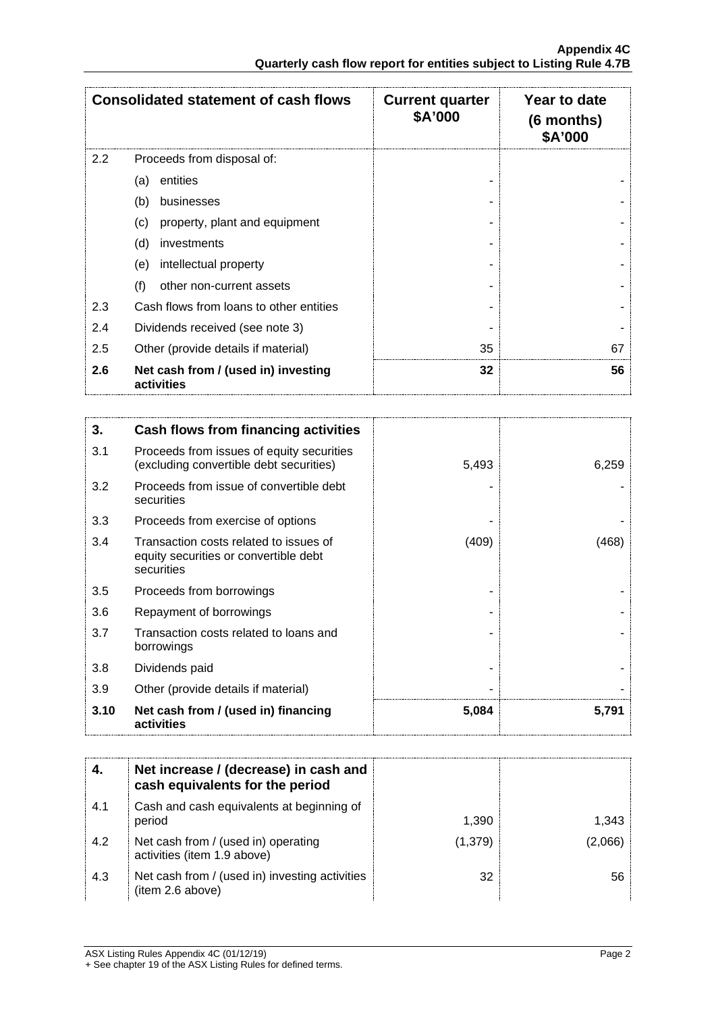|     | <b>Consolidated statement of cash flows</b>       | <b>Current quarter</b><br>\$A'000 | Year to date<br>$(6$ months)<br>\$A'000 |
|-----|---------------------------------------------------|-----------------------------------|-----------------------------------------|
| 2.2 | Proceeds from disposal of:                        |                                   |                                         |
|     | entities<br>(a)                                   |                                   |                                         |
|     | (b)<br>businesses                                 |                                   |                                         |
|     | property, plant and equipment<br>(c)              |                                   |                                         |
|     | (d)<br>investments                                |                                   |                                         |
|     | intellectual property<br>(e)                      |                                   |                                         |
|     | (f)<br>other non-current assets                   |                                   |                                         |
| 2.3 | Cash flows from loans to other entities           |                                   |                                         |
| 2.4 | Dividends received (see note 3)                   |                                   |                                         |
| 2.5 | Other (provide details if material)               | 35                                | 67                                      |
| 2.6 | Net cash from / (used in) investing<br>activities | 32                                | 56                                      |

| 3.   | Cash flows from financing activities                                                          |       |       |
|------|-----------------------------------------------------------------------------------------------|-------|-------|
| 3.1  | Proceeds from issues of equity securities<br>(excluding convertible debt securities)          | 5,493 | 6,259 |
| 3.2  | Proceeds from issue of convertible debt<br>securities                                         |       |       |
| 3.3  | Proceeds from exercise of options                                                             |       |       |
| 3.4  | Transaction costs related to issues of<br>equity securities or convertible debt<br>securities | (409) | (468) |
| 3.5  | Proceeds from borrowings                                                                      |       |       |
| 3.6  | Repayment of borrowings                                                                       |       |       |
| 3.7  | Transaction costs related to loans and<br>borrowings                                          |       |       |
| 3.8  | Dividends paid                                                                                |       |       |
| 3.9  | Other (provide details if material)                                                           |       |       |
| 3.10 | Net cash from / (used in) financing<br>activities                                             | 5,084 | 5,791 |

|     | Net increase / (decrease) in cash and<br>cash equivalents for the period |         |       |
|-----|--------------------------------------------------------------------------|---------|-------|
| 4.1 | Cash and cash equivalents at beginning of<br>period                      | 1,390   | 1,343 |
| 4.2 | Net cash from / (used in) operating<br>activities (item 1.9 above)       | (1,379) |       |
| 4.3 | Net cash from / (used in) investing activities<br>(item 2.6 above)       | 32      | 56    |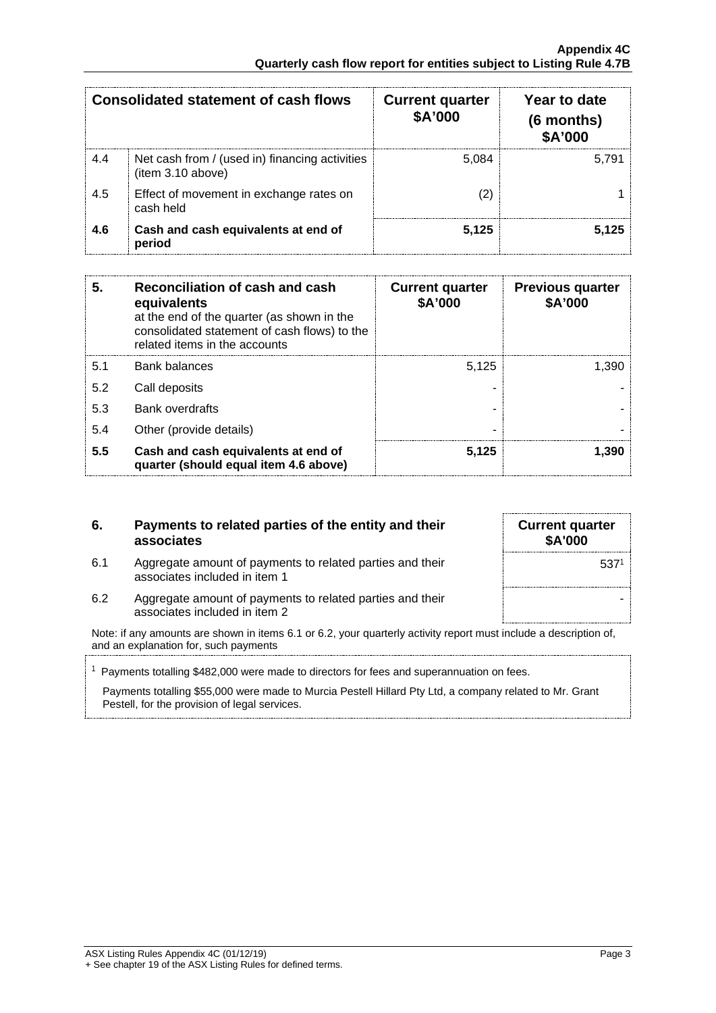| Consolidated statement of cash flows |                                                                     | <b>Current quarter</b><br><b>\$A'000</b> | Year to date<br>(6 months)<br><b>\$A'000</b> |
|--------------------------------------|---------------------------------------------------------------------|------------------------------------------|----------------------------------------------|
| 4.4                                  | Net cash from / (used in) financing activities<br>(item 3.10 above) | 5.084                                    | 5.791                                        |
| 4.5                                  | Effect of movement in exchange rates on<br>cash held                |                                          |                                              |
| 4.6                                  | Cash and cash equivalents at end of<br>period                       | 5.125                                    |                                              |

| 5.  | Reconciliation of cash and cash<br>equivalents<br>at the end of the quarter (as shown in the<br>consolidated statement of cash flows) to the<br>related items in the accounts | <b>Current quarter</b><br>\$A'000 | <b>Previous quarter</b><br>\$A'000 |
|-----|-------------------------------------------------------------------------------------------------------------------------------------------------------------------------------|-----------------------------------|------------------------------------|
| 5.1 | Bank balances                                                                                                                                                                 | 5.125                             | 1.390                              |
| 5.2 | Call deposits                                                                                                                                                                 |                                   |                                    |
| 5.3 | <b>Bank overdrafts</b>                                                                                                                                                        |                                   |                                    |
| 5.4 | Other (provide details)                                                                                                                                                       |                                   |                                    |
| 5.5 | Cash and cash equivalents at end of<br>quarter (should equal item 4.6 above)                                                                                                  | 5.125                             | <b>1.39P</b>                       |

## **6. Payments to related parties of the entity and their associates**

| <b>Current quarter</b><br>\$A'000 |                  |
|-----------------------------------|------------------|
|                                   | 537 <sup>1</sup> |
|                                   |                  |

- 6.1 Aggregate amount of payments to related parties and their associates included in item 1
- 6.2 Aggregate amount of payments to related parties and their associates included in item 2

Note: if any amounts are shown in items 6.1 or 6.2, your quarterly activity report must include a description of, and an explanation for, such payments

 $1$  Payments totalling \$482,000 were made to directors for fees and superannuation on fees.

Payments totalling \$55,000 were made to Murcia Pestell Hillard Pty Ltd, a company related to Mr. Grant Pestell, for the provision of legal services.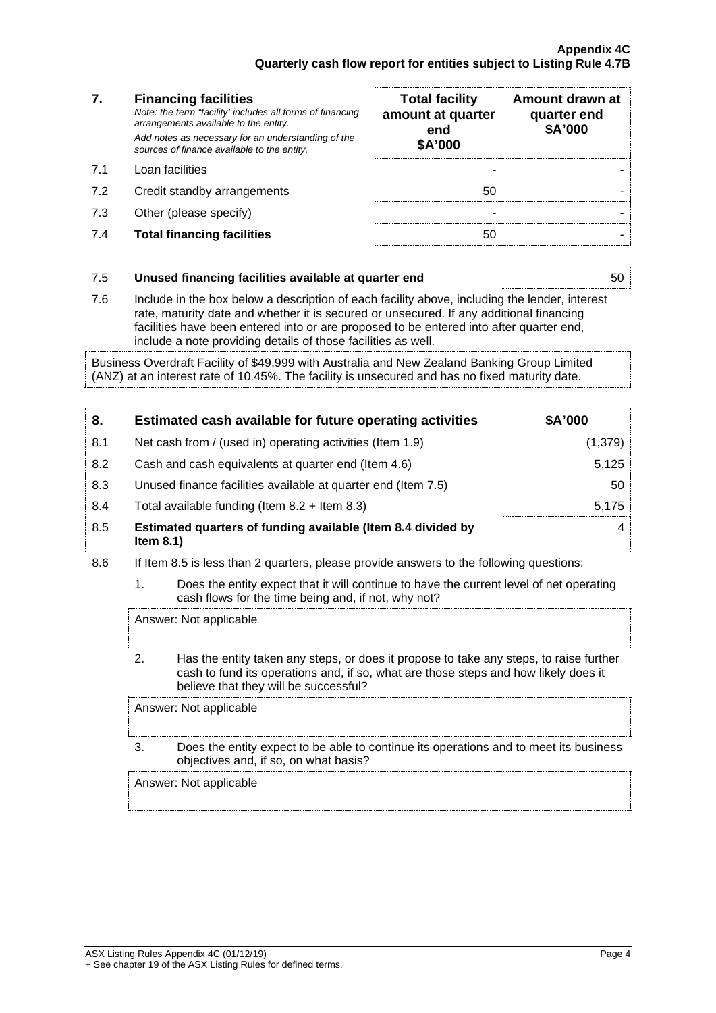# **7. Financing facilities**

*Note: the term "facility' includes all forms of financing arrangements available to the entity. Add notes as necessary for an understanding of the sources of finance available to the entity.*

- 7.1 Loan facilities
- 7.2 Credit standby arrangements
- 7.3 Other (please specify)
- **7.4 Total financing facilities**

| <b>Total facility</b><br>amount at quarter<br>end<br>\$A'000 | Amount drawn at<br>quarter end<br>\$A'000 |
|--------------------------------------------------------------|-------------------------------------------|
|                                                              |                                           |
| 50                                                           |                                           |
|                                                              |                                           |
|                                                              |                                           |

## 7.5 **Unused financing facilities available at quarter end** 50

7.6 Include in the box below a description of each facility above, including the lender, interest rate, maturity date and whether it is secured or unsecured. If any additional financing facilities have been entered into or are proposed to be entered into after quarter end, include a note providing details of those facilities as well.

Business Overdraft Facility of \$49,999 with Australia and New Zealand Banking Group Limited (ANZ) at an interest rate of 10.45%. The facility is unsecured and has no fixed maturity date.

| 8.  | Estimated cash available for future operating activities                     | <b>\$A'000</b> |
|-----|------------------------------------------------------------------------------|----------------|
| 8.1 | Net cash from / (used in) operating activities (Item 1.9)                    | 1,379          |
| 8.2 | Cash and cash equivalents at quarter end (Item 4.6)                          | 5.125          |
| 8.3 | Unused finance facilities available at quarter end (Item 7.5)                | 50             |
| 8.4 | Total available funding (Item $8.2 +$ Item $8.3$ )                           |                |
| 8.5 | Estimated quarters of funding available (Item 8.4 divided by<br>Item $8.1$ ) |                |

- 8.6 If Item 8.5 is less than 2 quarters, please provide answers to the following questions:
	- 1. Does the entity expect that it will continue to have the current level of net operating cash flows for the time being and, if not, why not?

Answer: Not applicable

2. Has the entity taken any steps, or does it propose to take any steps, to raise further cash to fund its operations and, if so, what are those steps and how likely does it believe that they will be successful?

Answer: Not applicable

3. Does the entity expect to be able to continue its operations and to meet its business objectives and, if so, on what basis?

Answer: Not applicable